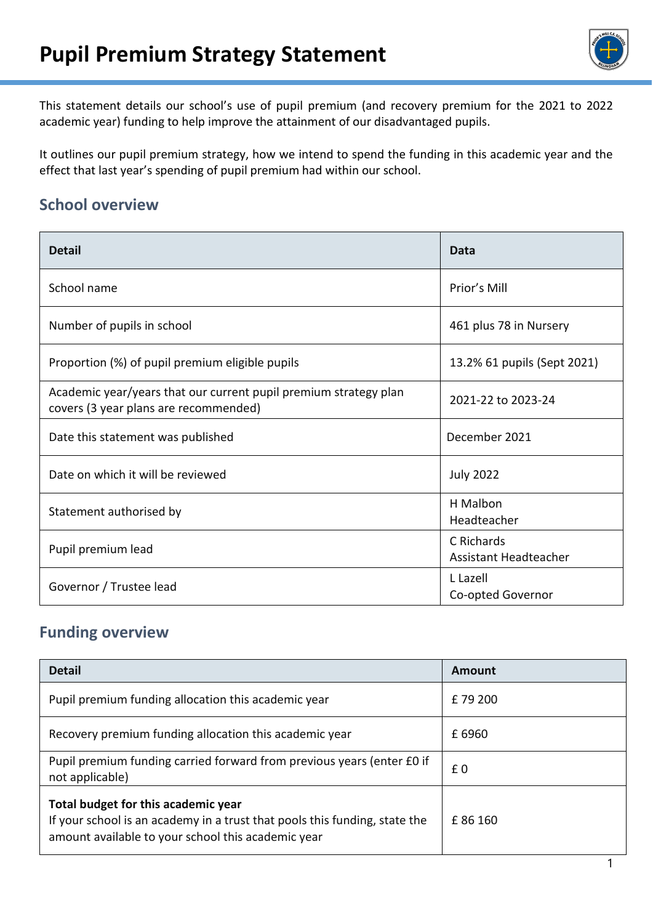

This statement details our school's use of pupil premium (and recovery premium for the 2021 to 2022 academic year) funding to help improve the attainment of our disadvantaged pupils.

It outlines our pupil premium strategy, how we intend to spend the funding in this academic year and the effect that last year's spending of pupil premium had within our school.

# **School overview**

| <b>Detail</b>                                                                                             | Data                                |
|-----------------------------------------------------------------------------------------------------------|-------------------------------------|
| School name                                                                                               | Prior's Mill                        |
| Number of pupils in school                                                                                | 461 plus 78 in Nursery              |
| Proportion (%) of pupil premium eligible pupils                                                           | 13.2% 61 pupils (Sept 2021)         |
| Academic year/years that our current pupil premium strategy plan<br>covers (3 year plans are recommended) | 2021-22 to 2023-24                  |
| Date this statement was published                                                                         | December 2021                       |
| Date on which it will be reviewed                                                                         | <b>July 2022</b>                    |
| Statement authorised by                                                                                   | H Malbon<br>Headteacher             |
| Pupil premium lead                                                                                        | C Richards<br>Assistant Headteacher |
| Governor / Trustee lead                                                                                   | L Lazell<br>Co-opted Governor       |

#### **Funding overview**

| <b>Detail</b>                                                                                                                                                           | <b>Amount</b> |
|-------------------------------------------------------------------------------------------------------------------------------------------------------------------------|---------------|
| Pupil premium funding allocation this academic year                                                                                                                     | £79 200       |
| Recovery premium funding allocation this academic year                                                                                                                  | £6960         |
| Pupil premium funding carried forward from previous years (enter £0 if<br>not applicable)                                                                               | £0            |
| Total budget for this academic year<br>If your school is an academy in a trust that pools this funding, state the<br>amount available to your school this academic year | £86 160       |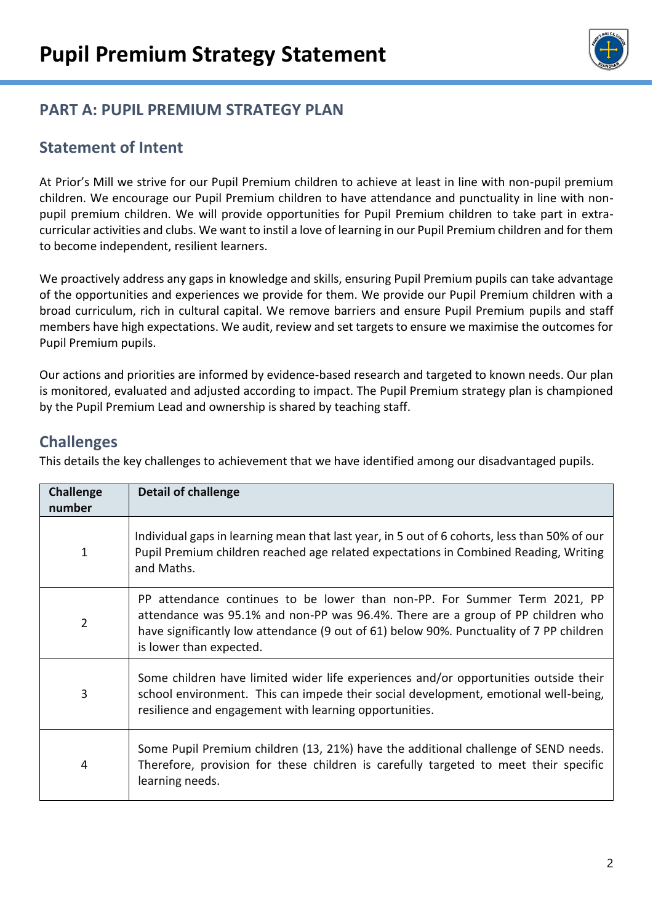

# **PART A: PUPIL PREMIUM STRATEGY PLAN**

### **Statement of Intent**

At Prior's Mill we strive for our Pupil Premium children to achieve at least in line with non-pupil premium children. We encourage our Pupil Premium children to have attendance and punctuality in line with nonpupil premium children. We will provide opportunities for Pupil Premium children to take part in extracurricular activities and clubs. We want to instil a love of learning in our Pupil Premium children and for them to become independent, resilient learners.

We proactively address any gaps in knowledge and skills, ensuring Pupil Premium pupils can take advantage of the opportunities and experiences we provide for them. We provide our Pupil Premium children with a broad curriculum, rich in cultural capital. We remove barriers and ensure Pupil Premium pupils and staff members have high expectations. We audit, review and set targets to ensure we maximise the outcomes for Pupil Premium pupils.

Our actions and priorities are informed by evidence-based research and targeted to known needs. Our plan is monitored, evaluated and adjusted according to impact. The Pupil Premium strategy plan is championed by the Pupil Premium Lead and ownership is shared by teaching staff.

#### **Challenges**

This details the key challenges to achievement that we have identified among our disadvantaged pupils.

| <b>Challenge</b><br>number | <b>Detail of challenge</b>                                                                                                                                                                                                                                                         |
|----------------------------|------------------------------------------------------------------------------------------------------------------------------------------------------------------------------------------------------------------------------------------------------------------------------------|
| 1                          | Individual gaps in learning mean that last year, in 5 out of 6 cohorts, less than 50% of our<br>Pupil Premium children reached age related expectations in Combined Reading, Writing<br>and Maths.                                                                                 |
| $\overline{2}$             | PP attendance continues to be lower than non-PP. For Summer Term 2021, PP<br>attendance was 95.1% and non-PP was 96.4%. There are a group of PP children who<br>have significantly low attendance (9 out of 61) below 90%. Punctuality of 7 PP children<br>is lower than expected. |
| 3                          | Some children have limited wider life experiences and/or opportunities outside their<br>school environment. This can impede their social development, emotional well-being,<br>resilience and engagement with learning opportunities.                                              |
| 4                          | Some Pupil Premium children (13, 21%) have the additional challenge of SEND needs.<br>Therefore, provision for these children is carefully targeted to meet their specific<br>learning needs.                                                                                      |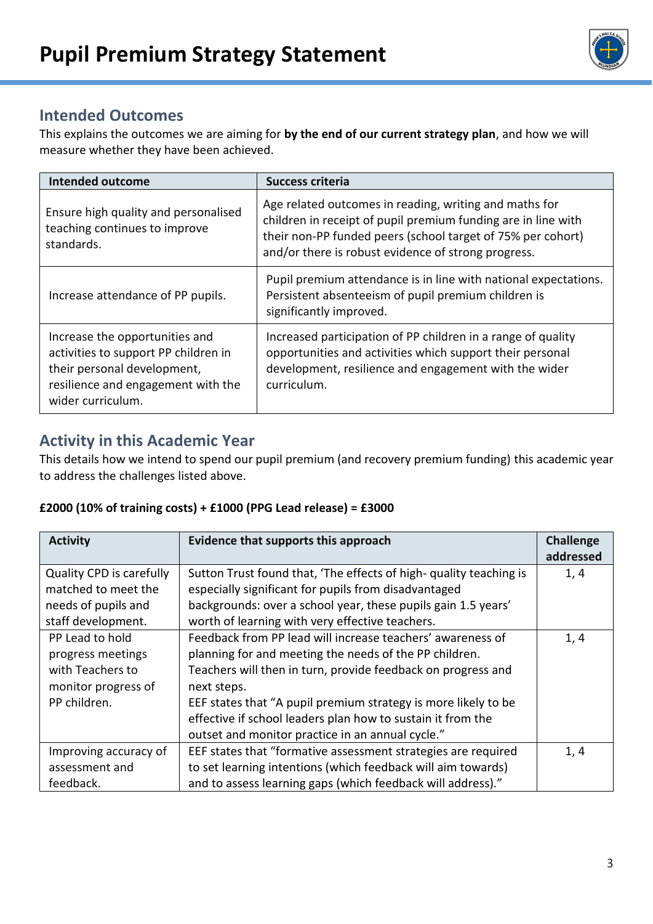

# **Intended Outcomes**

This explains the outcomes we are aiming for **by the end of our current strategy plan**, and how we will measure whether they have been achieved.

| <b>Intended outcome</b>                                                                                                                                          | <b>Success criteria</b>                                                                                                                                                                                                                       |
|------------------------------------------------------------------------------------------------------------------------------------------------------------------|-----------------------------------------------------------------------------------------------------------------------------------------------------------------------------------------------------------------------------------------------|
| Ensure high quality and personalised<br>teaching continues to improve<br>standards.                                                                              | Age related outcomes in reading, writing and maths for<br>children in receipt of pupil premium funding are in line with<br>their non-PP funded peers (school target of 75% per cohort)<br>and/or there is robust evidence of strong progress. |
| Increase attendance of PP pupils.                                                                                                                                | Pupil premium attendance is in line with national expectations.<br>Persistent absenteeism of pupil premium children is<br>significantly improved.                                                                                             |
| Increase the opportunities and<br>activities to support PP children in<br>their personal development,<br>resilience and engagement with the<br>wider curriculum. | Increased participation of PP children in a range of quality<br>opportunities and activities which support their personal<br>development, resilience and engagement with the wider<br>curriculum.                                             |

# **Activity in this Academic Year**

This details how we intend to spend our pupil premium (and recovery premium funding) this academic year to address the challenges listed above.

#### **£2000 (10% of training costs) + £1000 (PPG Lead release) = £3000**

| <b>Activity</b>                 | Evidence that supports this approach                               | <b>Challenge</b> |
|---------------------------------|--------------------------------------------------------------------|------------------|
|                                 |                                                                    | addressed        |
| <b>Quality CPD is carefully</b> | Sutton Trust found that, 'The effects of high- quality teaching is | 1, 4             |
| matched to meet the             | especially significant for pupils from disadvantaged               |                  |
| needs of pupils and             | backgrounds: over a school year, these pupils gain 1.5 years'      |                  |
| staff development.              | worth of learning with very effective teachers.                    |                  |
| PP Lead to hold                 | Feedback from PP lead will increase teachers' awareness of         | 1, 4             |
| progress meetings               | planning for and meeting the needs of the PP children.             |                  |
| with Teachers to                | Teachers will then in turn, provide feedback on progress and       |                  |
| monitor progress of             | next steps.                                                        |                  |
| PP children.                    | EEF states that "A pupil premium strategy is more likely to be     |                  |
|                                 | effective if school leaders plan how to sustain it from the        |                  |
|                                 | outset and monitor practice in an annual cycle."                   |                  |
| Improving accuracy of           | EEF states that "formative assessment strategies are required      | 1, 4             |
| assessment and                  | to set learning intentions (which feedback will aim towards)       |                  |
| feedback.                       | and to assess learning gaps (which feedback will address)."        |                  |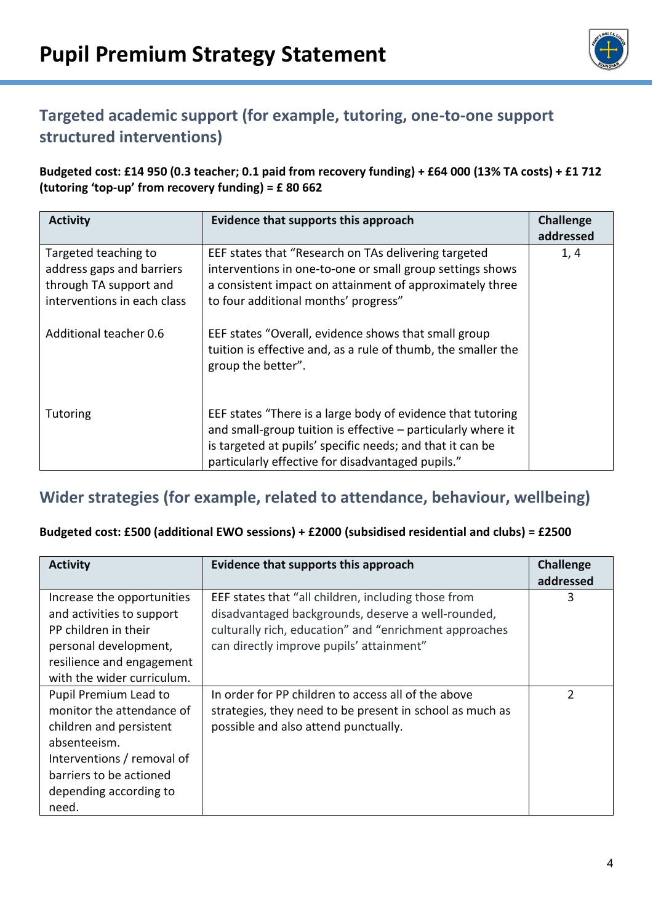

# **Targeted academic support (for example, tutoring, one-to-one support structured interventions)**

**Budgeted cost: £14 950 (0.3 teacher; 0.1 paid from recovery funding) + £64 000 (13% TA costs) + £1 712 (tutoring 'top-up' from recovery funding) = £ 80 662**

| <b>Activity</b>                                                                                            | Evidence that supports this approach                                                                                                                                                                                                          | <b>Challenge</b><br>addressed |
|------------------------------------------------------------------------------------------------------------|-----------------------------------------------------------------------------------------------------------------------------------------------------------------------------------------------------------------------------------------------|-------------------------------|
| Targeted teaching to<br>address gaps and barriers<br>through TA support and<br>interventions in each class | EEF states that "Research on TAs delivering targeted<br>interventions in one-to-one or small group settings shows<br>a consistent impact on attainment of approximately three<br>to four additional months' progress"                         | 1, 4                          |
| Additional teacher 0.6                                                                                     | EEF states "Overall, evidence shows that small group<br>tuition is effective and, as a rule of thumb, the smaller the<br>group the better".                                                                                                   |                               |
| <b>Tutoring</b>                                                                                            | EEF states "There is a large body of evidence that tutoring<br>and small-group tuition is effective - particularly where it<br>is targeted at pupils' specific needs; and that it can be<br>particularly effective for disadvantaged pupils." |                               |

### **Wider strategies (for example, related to attendance, behaviour, wellbeing)**

#### **Budgeted cost: £500 (additional EWO sessions) + £2000 (subsidised residential and clubs) = £2500**

| <b>Activity</b>            | Evidence that supports this approach                     | <b>Challenge</b> |
|----------------------------|----------------------------------------------------------|------------------|
|                            |                                                          | addressed        |
| Increase the opportunities | EEF states that "all children, including those from      | 3                |
| and activities to support  | disadvantaged backgrounds, deserve a well-rounded,       |                  |
| PP children in their       | culturally rich, education" and "enrichment approaches   |                  |
| personal development,      | can directly improve pupils' attainment"                 |                  |
| resilience and engagement  |                                                          |                  |
| with the wider curriculum. |                                                          |                  |
| Pupil Premium Lead to      | In order for PP children to access all of the above      | $\mathfrak z$    |
| monitor the attendance of  | strategies, they need to be present in school as much as |                  |
| children and persistent    | possible and also attend punctually.                     |                  |
| absenteeism.               |                                                          |                  |
| Interventions / removal of |                                                          |                  |
| barriers to be actioned    |                                                          |                  |
| depending according to     |                                                          |                  |
| need.                      |                                                          |                  |